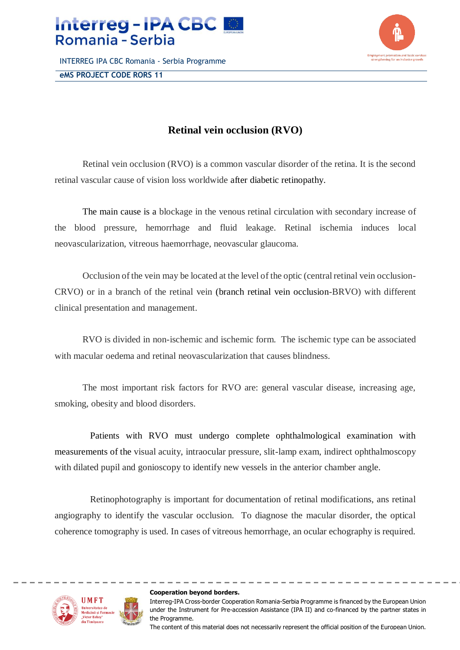

INTERREG IPA CBC Romania - Serbia Programme **eMS PROJECT CODE RORS 11**



## **Retinal vein occlusion (RVO)**

Retinal vein occlusion (RVO) is a common vascular disorder of the retina. It is the second retinal vascular cause of vision loss worldwide after [diabetic retinopathy.](http://emedicine.medscape.com/article/1225122-overview)

The main cause is a blockage in the venous retinal circulation with secondary increase of the blood pressure, hemorrhage and fluid leakage. Retinal ischemia induces local neovascularization, vitreous haemorrhage, neovascular glaucoma.

Occlusion of the vein may be located at the level of the optic (central retinal vein occlusion-CRVO) or in a branch of the retinal vein [\(branch retinal vein occlusion-](http://emedicine.medscape.com/article/1223498-overview)BRVO) with different clinical presentation and management.

RVO is divided in non-ischemic and ischemic form. The ischemic type can be associated with macular oedema and retinal neovascularization that causes blindness.

The most important risk factors for RVO are: general vascular disease, increasing age, smoking, obesity and blood disorders.

Patients with RVO must undergo complete ophthalmological examination with measurements of the visual acuity, intraocular pressure, slit-lamp exam, indirect ophthalmoscopy with dilated pupil and gonioscopy to identify new vessels in the anterior chamber angle.

Retinophotography is important for documentation of retinal modifications, ans retinal angiography to identify the vascular occlusion. To diagnose the macular disorder, the optical coherence tomography is used. In cases of vitreous hemorrhage, an ocular echography is required.



## **Cooperation beyond borders.**

Interreg-IPA Cross-border Cooperation Romania-Serbia Programme is financed by the European Union under the Instrument for Pre-accession Assistance (IPA II) and co-financed by the partner states in the Programme.

The content of this material does not necessarily represent the official position of the European Union.